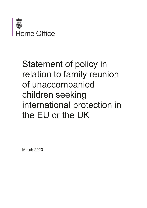

## Statement of policy in relation to family reunion of unaccompanied children seeking international protection in the EU or the UK

March 2020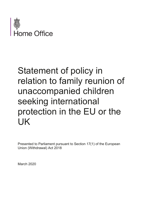

## Statement of policy in relation to family reunion of unaccompanied children seeking international protection in the EU or the UK

Presented to Parliament pursuant to Section 17(1) of the European Union (Withdrawal) Act 2018

March 2020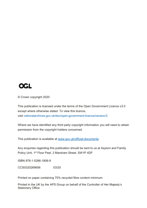

© Crown copyright 2020

This publication is licensed under the terms of the Open Government Licence v3.0 except where otherwise stated. To view this licence, visit [nationalarchives.gov.uk/doc/open](http://www.nationalarchives.gov.uk/doc/open-government-licence/version/3)-government-licence/version/3.

Where we have identified any third party copyright information you will need to obtain permission from the copyright holders concerned.

This publication is available at [www.gov.uk/official](https://www.gov.uk/government/publications)-documents.

Any enquiries regarding this publication should be sent to us at Asylum and Family Policy Unit, 1st Floor Peel, 2 Marsham Street, SW1P 4DF

ISBN 978-1-5286-1806-9

CCS0320269656 03/20

Printed on paper containing 75% recycled fibre content minimum

Printed in the UK by the APS Group on behalf of the Controller of Her Majesty's Stationery Office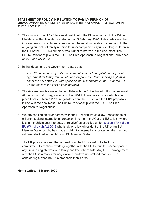## **STATEMENT OF POLICY IN RELATION TO FAMILY REUNION OF UNACCOMPANIED CHILDREN SEEKING INTERNATIONAL PROTECTION IN THE EU OR THE UK**

- 1. The vision for the UK's future relationship with the EU was set out in the Prime Minister's written Ministerial statement on 3 February 2020. This made clear the Government's commitment to supporting the most vulnerable children and to the ongoing principle of family reunion for unaccompanied asylum-seeking children in the UK or the EU. This principle was further reinforced in the document 'The Future Relationship with the EU – The UK's Approach to Negotiations', published on 27 February 2020.
- 2. In that document, the Government stated that:

*The UK has made a specific commitment to seek to negotiate a reciprocal agreement for family reunion of unaccompanied children seeking asylum in either the EU or the UK, with specified family members in the UK or the EU, where this is in the child's best interests.* 

- 3. The Government is seeking to negotiate with the EU in line with this commitment. At the first round of negotiations on the UK-EU future relationship, which took place from 2-5 March 2020, negotiators from the UK set out the UK's proposals, in line with the document 'The Future Relationship with the EU – The UK's Approach to Negotiations'.
- 4. We are seeking an arrangement with the EU which would allow unaccompanied children seeking international protection in either the UK or the EU to join, where it is in the child's best interests, a "relative" as specified under [section 17\(4\) of the](http://www.legislation.gov.uk/ukpga/2018/16/section/17)  [EU \(Withdrawal\) Act 2018](http://www.legislation.gov.uk/ukpga/2018/16/section/17) who is either a lawful resident of the UK or an EU Member State, or who has made a claim for international protection that has not yet been decided in the UK or an EU Member State.
- 5. The UK position is clear that our exit from the EU should not affect our commitment to continue working together with the EU to reunite unaccompanied asylum-seeking children with family and keep them safe. Any future arrangement with the EU is a matter for negotiations, and we understand that the EU is considering further the UK's proposals in this area.

**Home Office, 16 March 2020**